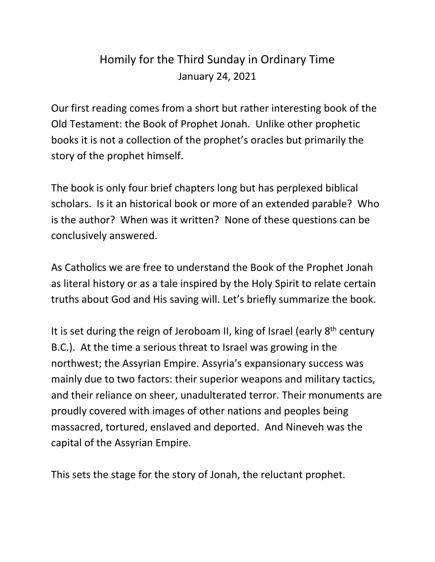## Homily for the Third Sunday in Ordinary Time January 24, 2021

Our first reading comes from a short but rather interesting book of the Old Testament: the Book of Prophet Jonah. Unlike other prophetic books it is not a collection of the prophet's oracles but primarily the story of the prophet himself.

The book is only four brief chapters long but has perplexed biblical scholars. Is it an historical book or more of an extended parable? Who is the author? When was it written? None of these questions can be conclusively answered.

As Catholics we are free to understand the Book of the Prophet Jonah as literal history or as a tale inspired by the Holy Spirit to relate certain truths about God and His saving will. Let's briefly summarize the book.

It is set during the reign of Jeroboam II, king of Israel (early 8<sup>th</sup> century B.C.). At the time a serious threat to Israel was growing in the northwest; the Assyrian Empire. Assyria's expansionary success was mainly due to two factors: their superior weapons and military tactics, and their reliance on sheer, unadulterated terror. Their monuments are proudly covered with images of other nations and peoples being massacred, tortured, enslaved and deported. And Nineveh was the capital of the Assyrian Empire.

This sets the stage for the story of Jonah, the reluctant prophet.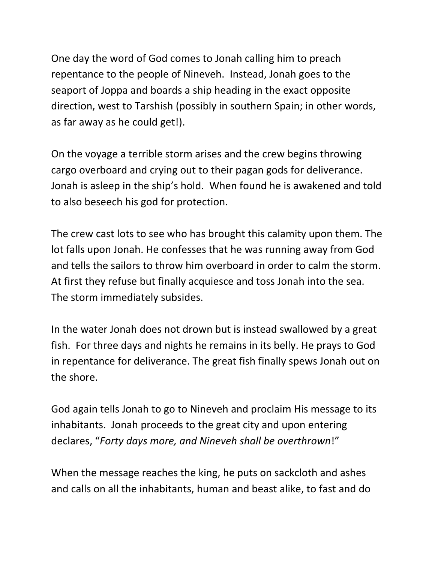One day the word of God comes to Jonah calling him to preach repentance to the people of Nineveh. Instead, Jonah goes to the seaport of Joppa and boards a ship heading in the exact opposite direction, west to Tarshish (possibly in southern Spain; in other words, as far away as he could get!).

On the voyage a terrible storm arises and the crew begins throwing cargo overboard and crying out to their pagan gods for deliverance. Jonah is asleep in the ship's hold. When found he is awakened and told to also beseech his god for protection.

The crew cast lots to see who has brought this calamity upon them. The lot falls upon Jonah. He confesses that he was running away from God and tells the sailors to throw him overboard in order to calm the storm. At first they refuse but finally acquiesce and toss Jonah into the sea. The storm immediately subsides.

In the water Jonah does not drown but is instead swallowed by a great fish. For three days and nights he remains in its belly. He prays to God in repentance for deliverance. The great fish finally spews Jonah out on the shore.

God again tells Jonah to go to Nineveh and proclaim His message to its inhabitants. Jonah proceeds to the great city and upon entering declares, "*Forty days more, and Nineveh shall be overthrown*!"

When the message reaches the king, he puts on sackcloth and ashes and calls on all the inhabitants, human and beast alike, to fast and do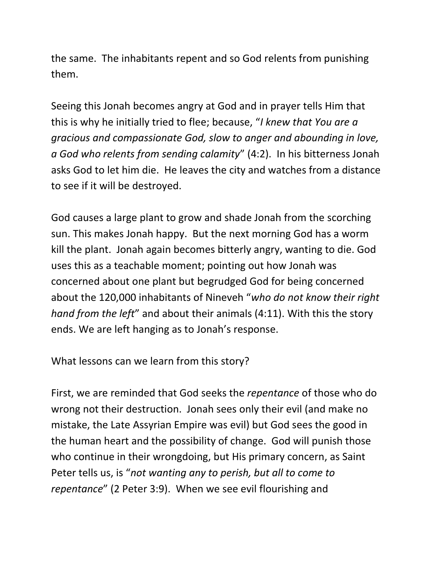the same. The inhabitants repent and so God relents from punishing them.

Seeing this Jonah becomes angry at God and in prayer tells Him that this is why he initially tried to flee; because, "*I knew that You are a gracious and compassionate God, slow to anger and abounding in love, a God who relents from sending calamity*" (4:2). In his bitterness Jonah asks God to let him die. He leaves the city and watches from a distance to see if it will be destroyed.

God causes a large plant to grow and shade Jonah from the scorching sun. This makes Jonah happy. But the next morning God has a worm kill the plant. Jonah again becomes bitterly angry, wanting to die. God uses this as a teachable moment; pointing out how Jonah was concerned about one plant but begrudged God for being concerned about the 120,000 inhabitants of Nineveh "*who do not know their right hand from the left*" and about their animals (4:11). With this the story ends. We are left hanging as to Jonah's response.

What lessons can we learn from this story?

First, we are reminded that God seeks the *repentance* of those who do wrong not their destruction. Jonah sees only their evil (and make no mistake, the Late Assyrian Empire was evil) but God sees the good in the human heart and the possibility of change. God will punish those who continue in their wrongdoing, but His primary concern, as Saint Peter tells us, is "*not wanting any to perish, but all to come to repentance*" (2 Peter 3:9). When we see evil flourishing and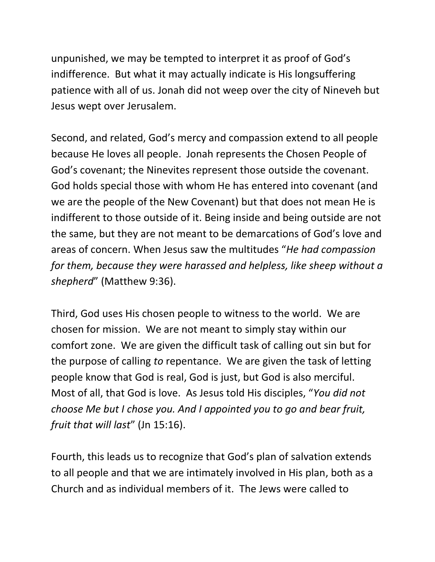unpunished, we may be tempted to interpret it as proof of God's indifference. But what it may actually indicate is His longsuffering patience with all of us. Jonah did not weep over the city of Nineveh but Jesus wept over Jerusalem.

Second, and related, God's mercy and compassion extend to all people because He loves all people. Jonah represents the Chosen People of God's covenant; the Ninevites represent those outside the covenant. God holds special those with whom He has entered into covenant (and we are the people of the New Covenant) but that does not mean He is indifferent to those outside of it. Being inside and being outside are not the same, but they are not meant to be demarcations of God's love and areas of concern. When Jesus saw the multitudes "*He had compassion for them, because they were harassed and helpless, like sheep without a shepherd*" (Matthew 9:36).

Third, God uses His chosen people to witness to the world. We are chosen for mission. We are not meant to simply stay within our comfort zone. We are given the difficult task of calling out sin but for the purpose of calling *to* repentance. We are given the task of letting people know that God is real, God is just, but God is also merciful. Most of all, that God is love. As Jesus told His disciples, "*You did not choose Me but I chose you. And I appointed you to go and bear fruit, fruit that will last*" (Jn 15:16).

Fourth, this leads us to recognize that God's plan of salvation extends to all people and that we are intimately involved in His plan, both as a Church and as individual members of it. The Jews were called to